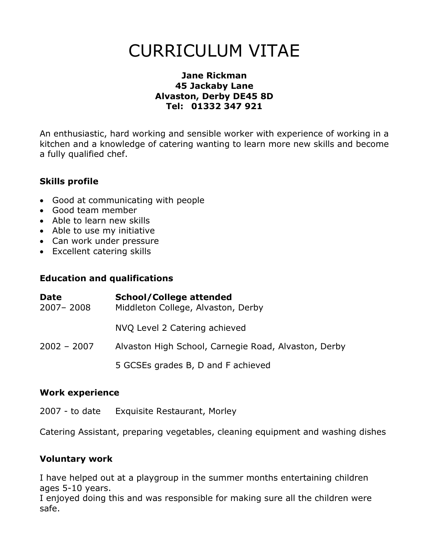# **CURRICULUM VITAE**

#### **Jane Rickman 45 Jackaby Lane Alvaston, Derby DE45 8D** Tel: 01332 347 921

An enthusiastic, hard working and sensible worker with experience of working in a kitchen and a knowledge of catering wanting to learn more new skills and become a fully qualified chef.

## **Skills profile**

- Good at communicating with people
- Good team member
- Able to learn new skills
- Able to use my initiative
- Can work under pressure
- Excellent catering skills

#### **Education and qualifications**

| <b>Date</b><br>2007-2008 | <b>School/College attended</b><br>Middleton College, Alvaston, Derby |
|--------------------------|----------------------------------------------------------------------|
|                          | NVQ Level 2 Catering achieved                                        |
| $2002 - 2007$            | Alvaston High School, Carnegie Road, Alvaston, Derby                 |
|                          | 5 GCSEs grades B, D and F achieved                                   |

#### **Work experience**

2007 - to date Exquisite Restaurant, Morley

Catering Assistant, preparing vegetables, cleaning equipment and washing dishes

#### **Voluntary work**

I have helped out at a playgroup in the summer months entertaining children ages 5-10 years.

I enjoyed doing this and was responsible for making sure all the children were safe.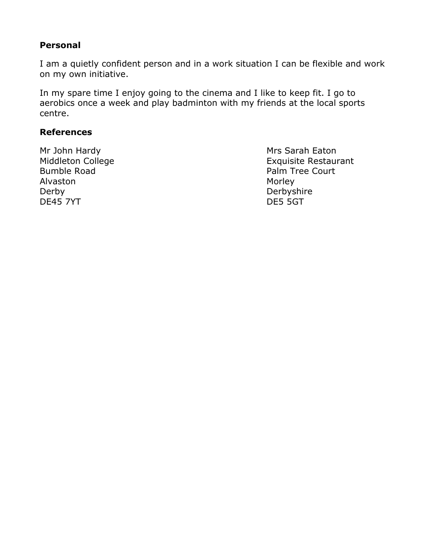#### Personal

I am a quietly confident person and in a work situation I can be flexible and work on my own initiative.

In my spare time I enjoy going to the cinema and I like to keep fit. I go to aerobics once a week and play badminton with my friends at the local sports centre.

#### **References**

Mr John Hardy Middleton College **Bumble Road** Alvaston Derby **DE45 7YT** 

Mrs Sarah Eaton **Exquisite Restaurant** Palm Tree Court Morley Derbyshire DE5 5GT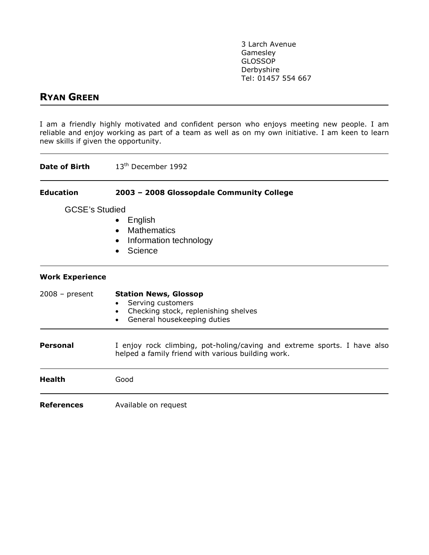3 Larch Avenue Gamesley **GLOSSOP** Derbyshire Tel: 01457 554 667

## **RYAN GREEN**

I am a friendly highly motivated and confident person who enjoys meeting new people. I am reliable and enjoy working as part of a team as well as on my own initiative. I am keen to learn new skills if given the opportunity.

| Date of Birth          | 13 <sup>th</sup> December 1992                                                                                                                                  |  |  |
|------------------------|-----------------------------------------------------------------------------------------------------------------------------------------------------------------|--|--|
| <b>Education</b>       | 2003 - 2008 Glossopdale Community College                                                                                                                       |  |  |
| <b>GCSE's Studied</b>  | English<br>$\bullet$<br><b>Mathematics</b><br>$\bullet$<br>Information technology<br>$\bullet$<br>Science<br>$\bullet$                                          |  |  |
| <b>Work Experience</b> |                                                                                                                                                                 |  |  |
| $2008 - present$       | <b>Station News, Glossop</b><br>Serving customers<br>$\bullet$<br>Checking stock, replenishing shelves<br>$\bullet$<br>General housekeeping duties<br>$\bullet$ |  |  |
| <b>Personal</b>        | I enjoy rock climbing, pot-holing/caving and extreme sports. I have also<br>helped a family friend with various building work.                                  |  |  |
| <b>Health</b>          | Good                                                                                                                                                            |  |  |
| <b>References</b>      | Available on request                                                                                                                                            |  |  |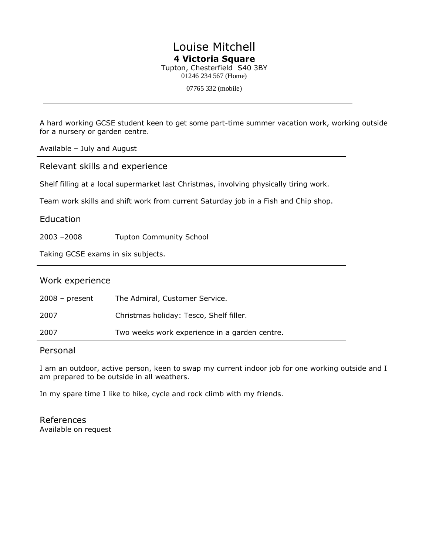# Louise Mitchell 4 Victoria Square

Tupton, Chesterfield S40 3BY 01246 234 567 (Home)

07765 332 (mobile)

A hard working GCSE student keen to get some part-time summer vacation work, working outside for a nursery or garden centre.

Available - July and August

Relevant skills and experience

Shelf filling at a local supermarket last Christmas, involving physically tiring work.

Team work skills and shift work from current Saturday job in a Fish and Chip shop.

#### Education

 $2003 - 2008$ **Tupton Community School** 

Taking GCSE exams in six subjects.

#### Work experience

| $2008 - present$ | The Admiral, Customer Service.                |
|------------------|-----------------------------------------------|
| 2007             | Christmas holiday: Tesco, Shelf filler.       |
| 2007             | Two weeks work experience in a garden centre. |

#### Personal

I am an outdoor, active person, keen to swap my current indoor job for one working outside and I am prepared to be outside in all weathers.

In my spare time I like to hike, cycle and rock climb with my friends.

References Available on request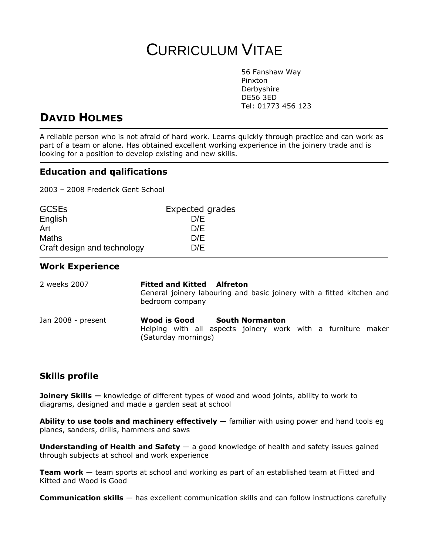# **CURRICULUM VITAE**

56 Fanshaw Way Pinxton Derbyshire **DE56 3ED** Tel: 01773 456 123

# **DAVID HOLMES**

A reliable person who is not afraid of hard work. Learns quickly through practice and can work as part of a team or alone. Has obtained excellent working experience in the joinery trade and is looking for a position to develop existing and new skills.

#### **Education and galifications**

2003 - 2008 Frederick Gent School

| <b>GCSEs</b>                | Expected grades |  |
|-----------------------------|-----------------|--|
| English                     | D/E             |  |
| Art                         | D/E             |  |
| <b>Maths</b>                | D/E             |  |
| Craft design and technology | D/E             |  |

#### **Work Experience**

| 2 weeks 2007       | <b>Fitted and Kitted Alfreton</b><br>General joinery labouring and basic joinery with a fitted kitchen and<br>bedroom company |
|--------------------|-------------------------------------------------------------------------------------------------------------------------------|
| Jan 2008 - present | Wood is Good<br><b>South Normanton</b><br>Helping with all aspects joinery work with a furniture maker<br>(Saturday mornings) |

#### **Skills profile**

**Joinery Skills -** knowledge of different types of wood and wood joints, ability to work to diagrams, designed and made a garden seat at school

Ability to use tools and machinery effectively - familiar with using power and hand tools eg planes, sanders, drills, hammers and saws

Understanding of Health and Safety  $-$  a good knowledge of health and safety issues gained through subjects at school and work experience

**Team work** – team sports at school and working as part of an established team at Fitted and Kitted and Wood is Good

**Communication skills** - has excellent communication skills and can follow instructions carefully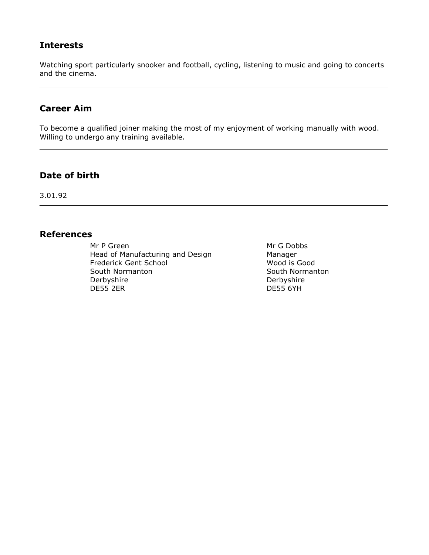#### **Interests**

Watching sport particularly snooker and football, cycling, listening to music and going to concerts and the cinema.

#### **Career Aim**

To become a qualified joiner making the most of my enjoyment of working manually with wood. Willing to undergo any training available.

#### Date of birth

3.01.92

#### **References**

Mr P Green Head of Manufacturing and Design Frederick Gent School South Normanton Derbyshire **DE55 2ER** 

Mr G Dobbs Manager Wood is Good South Normanton Derbyshire **DE55 6YH**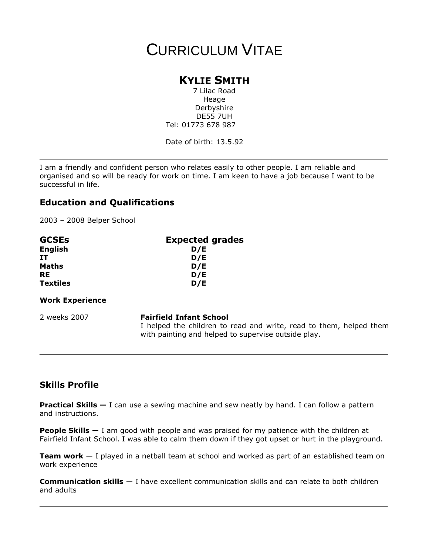# **CURRICULUM VITAE**

## **KYLIE SMITH**

7 Lilac Road Heage Derbyshire **DE55 7UH** Tel: 01773 678 987

Date of birth: 13.5.92

I am a friendly and confident person who relates easily to other people. I am reliable and organised and so will be ready for work on time. I am keen to have a job because I want to be successful in life.

### **Education and Qualifications**

2003 - 2008 Belper School

| <b>GCSEs</b>    | <b>Expected grades</b> |  |
|-----------------|------------------------|--|
| <b>English</b>  | D/E                    |  |
| IT              | D/E                    |  |
| <b>Maths</b>    | D/E                    |  |
| <b>RE</b>       | D/E                    |  |
| <b>Textiles</b> | D/E                    |  |
|                 |                        |  |

#### **Work Experience**

2 weeks 2007

#### **Fairfield Infant School**

I helped the children to read and write, read to them, helped them with painting and helped to supervise outside play.

## **Skills Profile**

**Practical Skills**  $-$  I can use a sewing machine and sew neatly by hand. I can follow a pattern and instructions.

**People Skills**  $-1$  am good with people and was praised for my patience with the children at Fairfield Infant School. I was able to calm them down if they got upset or hurt in the playground.

**Team work**  $-$  I played in a netball team at school and worked as part of an established team on work experience

**Communication skills** - I have excellent communication skills and can relate to both children and adults